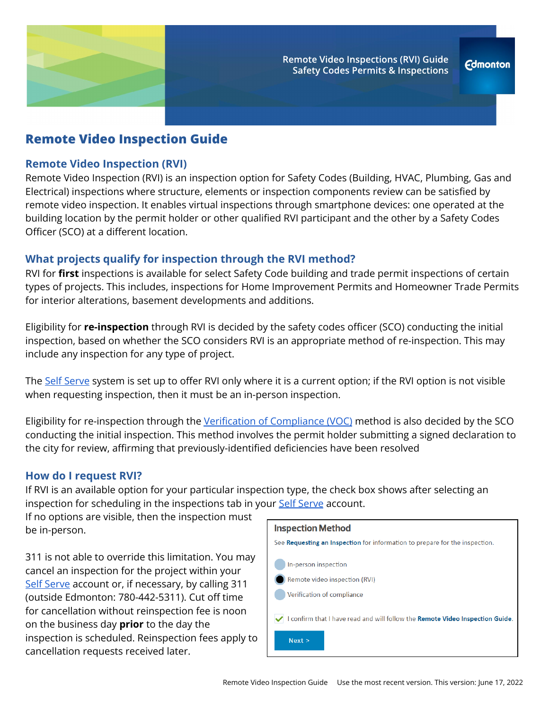

# **Remote Video Inspection Guide**

#### **Remote Video Inspection (RVI)**

Remote Video Inspection (RVI) is an inspection option for Safety Codes (Building, HVAC, Plumbing, Gas and Electrical) inspections where structure, elements or inspection components review can be satisfied by remote video inspection. It enables virtual inspections through smartphone devices: one operated at the building location by the permit holder or other qualified RVI participant and the other by a Safety Codes Officer (SCO) at a different location.

## **What projects qualify for inspection through the RVI method?**

RVI for **first** inspections is available for select Safety Code building and trade permit inspections of certain types of projects. This includes, inspections for Home Improvement Permits and Homeowner Trade Permits for interior alterations, basement developments and additions.

Eligibility for **re-inspection** through RVI is decided by the safety codes officer (SCO) conducting the initial inspection, based on whether the SCO considers RVI is an appropriate method of re-inspection. This may include any inspection for any type of project.

The Self [Serve](https://selfserve.edmonton.ca/) system is set up to offer RVI only where it is a current option; if the RVI option is not visible when requesting inspection, then it must be an in-person inspection.

Eligibility for re-inspection through the Verification of [Compliance \(VOC\)](https://www.edmonton.ca/programs_services/documents/Verificaton_of_Compliance_VOC_Customer_Guide.pdf) method is also decided by the SCO conducting the initial inspection. This method involves the permit holder submitting a signed declaration to the city for review, affirming that previously-identified deficiencies have been resolved

#### **How do I request RVI?**

If RVI is an available option for your particular inspection type, the check box shows after selecting an inspection for scheduling in the inspections tab in your Self [Serve](https://selfserve.edmonton.ca/) account.

If no options are visible, then the inspection must be in-person.

311 is not able to override this limitation. You may cancel an inspection for the project within your Self [Serve](https://selfserve.edmonton.ca/) account or, if necessary, by calling 311 (outside Edmonton: 780-442-5311). Cut off time for cancellation without reinspection fee is noon on the business day **prior** to the day the inspection is scheduled. Reinspection fees apply to cancellation requests received later.